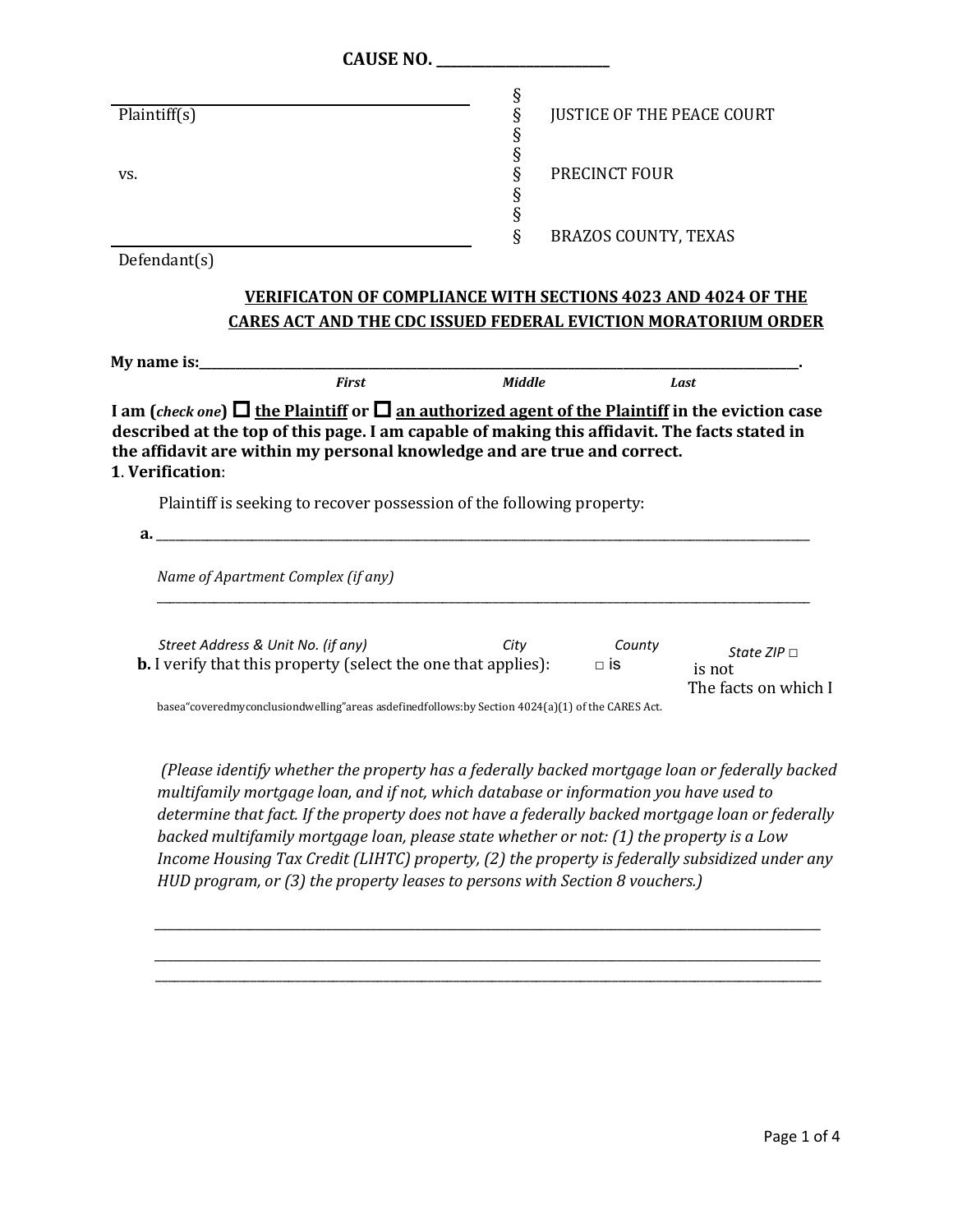| <b>CAUSE NO.</b>                                                                                                                                                                                                                 |               |                                   |                                                    |
|----------------------------------------------------------------------------------------------------------------------------------------------------------------------------------------------------------------------------------|---------------|-----------------------------------|----------------------------------------------------|
| Plaintiff(s)                                                                                                                                                                                                                     |               | <b>JUSTICE OF THE PEACE COURT</b> |                                                    |
| VS.                                                                                                                                                                                                                              | 89899999      | PRECINCT FOUR                     |                                                    |
|                                                                                                                                                                                                                                  | ş             | <b>BRAZOS COUNTY, TEXAS</b>       |                                                    |
| Defendant(s)                                                                                                                                                                                                                     |               |                                   |                                                    |
| <b>VERIFICATON OF COMPLIANCE WITH SECTIONS 4023 AND 4024 OF THE</b>                                                                                                                                                              |               |                                   |                                                    |
| <b>CARES ACT AND THE CDC ISSUED FEDERAL EVICTION MORATORIUM ORDER</b>                                                                                                                                                            |               |                                   |                                                    |
|                                                                                                                                                                                                                                  |               |                                   |                                                    |
| <b>First</b>                                                                                                                                                                                                                     | <b>Middle</b> |                                   | Last                                               |
| Plaintiff is seeking to recover possession of the following property:<br>a.<br>Name of Apartment Complex (if any)                                                                                                                |               |                                   |                                                    |
| Street Address & Unit No. (if any)<br><b>b.</b> I verify that this property (select the one that applies): $\Box$ is<br>basea" covered my conclusion dwelling" areas as defined follows: by Section 4024(a)(1) of the CARES Act. | City          | County                            | State ZIP $\Box$<br>is not<br>The facts on which I |
|                                                                                                                                                                                                                                  |               |                                   |                                                    |

*\_\_\_\_\_\_\_\_\_\_\_\_\_\_\_\_\_\_\_\_\_\_\_\_\_\_\_\_\_\_\_\_\_\_\_\_\_\_\_\_\_\_\_\_\_\_\_\_\_\_\_\_\_\_\_\_\_\_\_\_\_\_\_\_\_\_\_\_\_\_\_\_\_\_\_\_\_\_\_\_\_\_\_\_\_\_\_\_\_\_\_\_\_\_\_\_\_\_\_\_\_\_\_\_\_* \_\_\_\_\_\_\_\_\_\_\_\_\_\_\_\_\_\_\_\_\_\_\_\_\_\_\_\_\_\_\_\_\_\_\_\_\_\_\_\_\_\_\_\_\_\_\_\_\_\_\_\_\_\_\_\_\_\_\_\_\_\_\_\_\_\_\_\_\_\_\_\_\_\_\_\_\_\_\_\_\_\_\_\_\_\_\_\_\_\_\_\_\_\_\_\_\_\_\_\_\_\_\_\_\_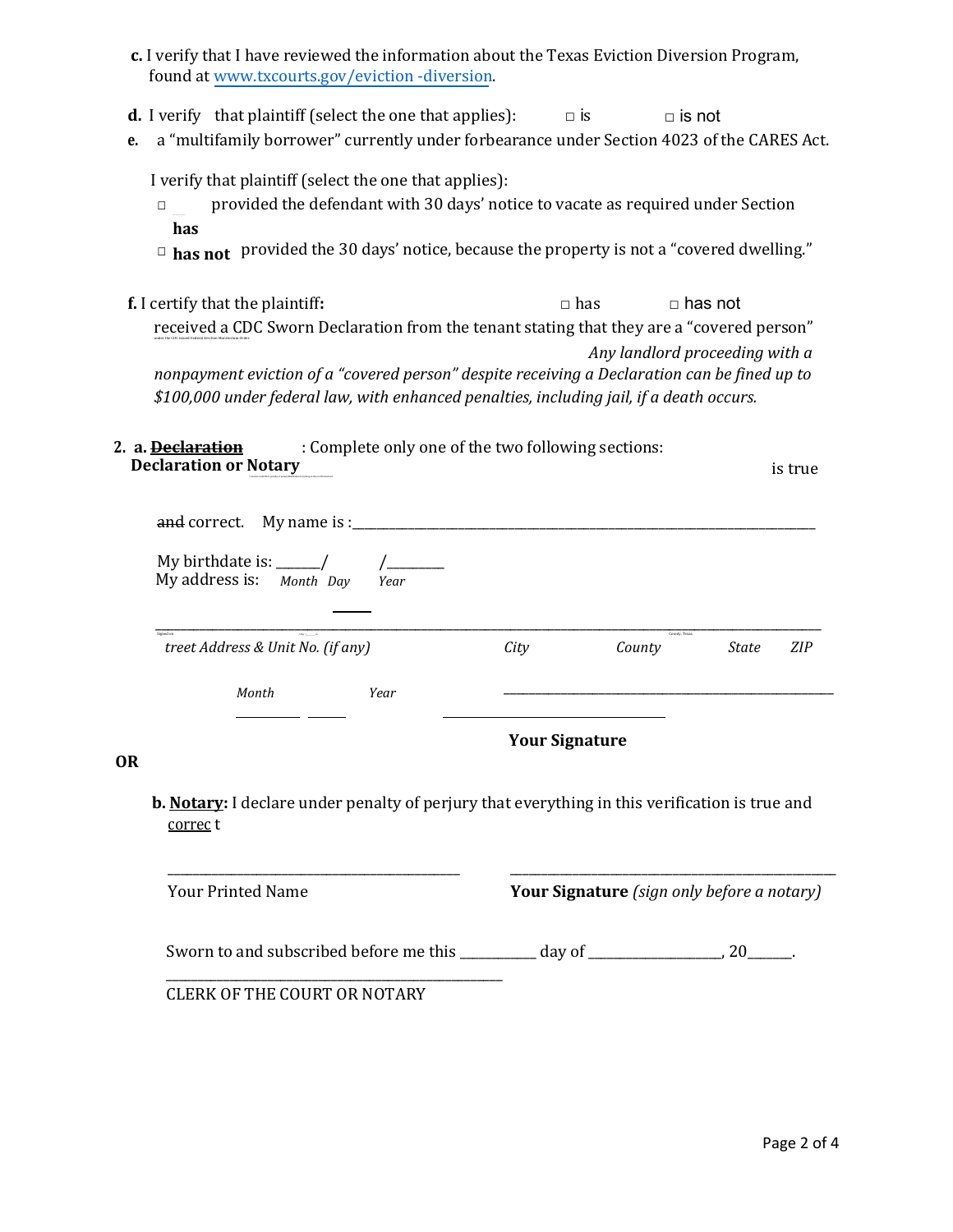- **c.** I verify that I have reviewed the information about the Texas Eviction Diversion Program, found a[t www.txcourts.gov/eviction -diversion.](http://www.txcourts.gov/eviction-diversion)
- **d.** I verify that plaintiff (select the one that applies):  $\Box$  is  $\Box$  is not
- **e.** a "multifamily borrower" currently under forbearance under Section 4023 of the CARES Act.

I verify that plaintiff (select the one that applies):

- □ provided the defendant with 30 days' notice to vacate as required under Section **has**
- □ has not provided the 30 days' notice, because the property is not a "covered dwelling."
- **f.** I certify that the plaintiff: □ □ nas □ has not received a CDC Sworn Declaration from the tenant stating that they are a "covered person" under the CDC issued Federal Eviction Moratorium Order. *Any landlord proceeding with a nonpayment eviction of a "covered person" despite receiving a Declaration can be fined up to \$100,000 under federal law, with enhanced penalties, including jail, if a death occurs.*
- **2. a. Declaration** : Complete only one of the two following sections: **Declaration or Notary** is true

| and correct. My name is : $\frac{1}{\sqrt{2}}$                |      |                       |                          |       |            |
|---------------------------------------------------------------|------|-----------------------|--------------------------|-------|------------|
| My birthdate is: $\frac{ }{ }$ /<br>My address is: Month Day  | Year |                       |                          |       |            |
| Signed on<br>$/$ Day $/$<br>treet Address & Unit No. (if any) |      | City                  | County, Texas.<br>County | State | <b>ZIP</b> |
| Month                                                         | Year |                       |                          |       |            |
|                                                               |      | <b>Your Signature</b> |                          |       |            |

## **OR**

**b. Notary:** I declare under penalty of perjury that everything in this verification is true and correc t

| <b>Your Printed Name</b>                     | <b>Your Signature</b> (sign only before a notary) |      |  |
|----------------------------------------------|---------------------------------------------------|------|--|
| Sworn to and subscribed before me this _____ | day of                                            | 20 — |  |
| CLERK OF THE COURT OR NOTARY                 |                                                   |      |  |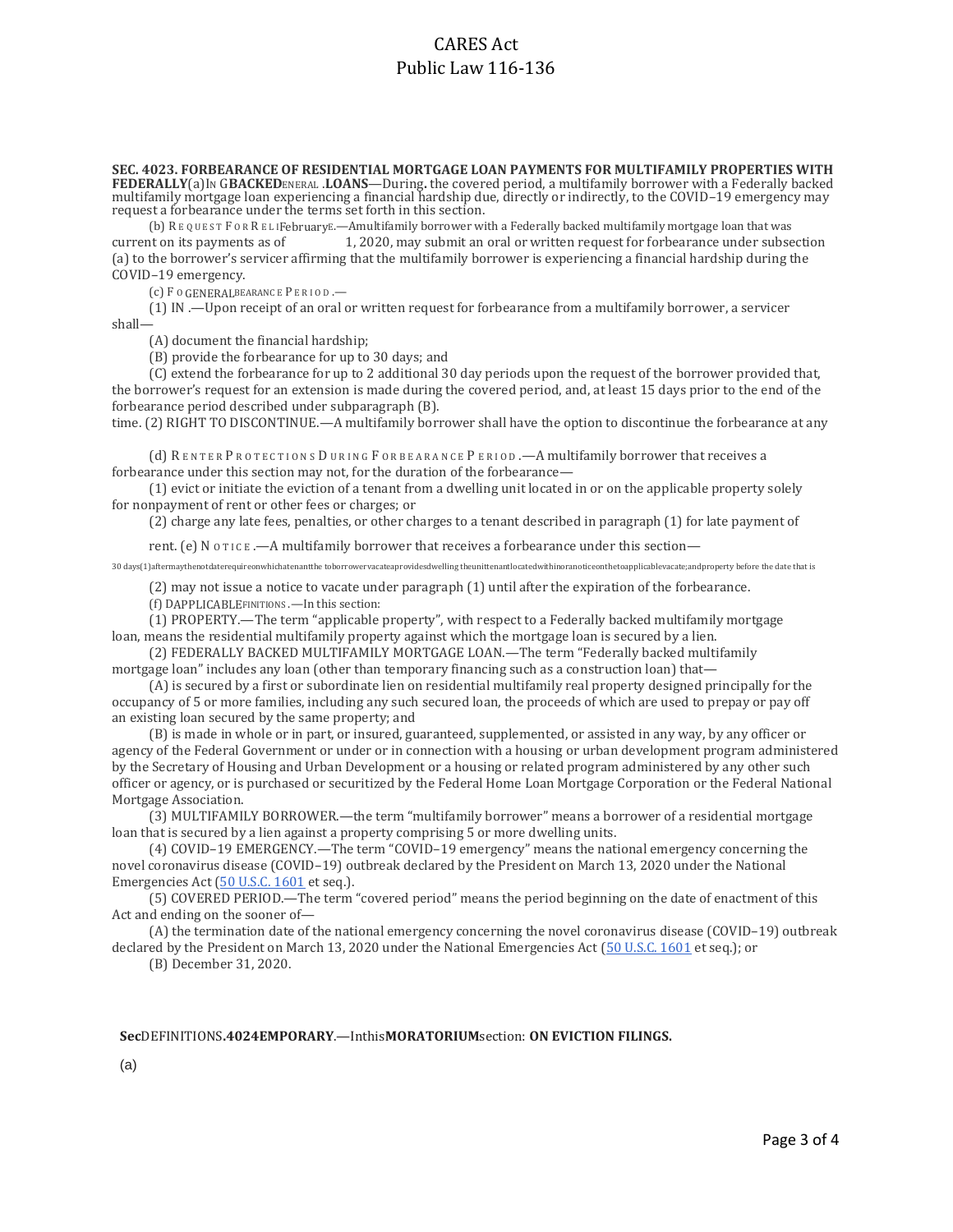# CARES Act Public Law 116-136

**SEC. 4023. FORBEARANCE OF RESIDENTIAL MORTGAGE LOAN PAYMENTS FOR MULTIFAMILY PROPERTIES WITH FEDERALLY**(a)IN G**BACKED**ENERAL .**LOANS**—During**.** the covered period, a multifamily borrower with a Federally backed multifamily mortgage loan experiencing a financial hardship due, directly or indirectly, to the COVID-19 emergency may request a forbearance under the terms set forth in this section.

(b) R E Q U E S T F O R R E L IFebruaryE.—Amultifamily borrower with a Federally backed multifamily mortgage loan that was current on its payments as of 1, 2020, may submit an oral or written request for forbearance under subsection (a) to the borrower's servicer affirming that the multifamily borrower is experiencing a financial hardship during the COVID–19 emergency.

(c) F <sup>O</sup> GENERALBEARANC E P E R I O D .—

(1) IN .—Upon receipt of an oral or written request for forbearance from a multifamily borrower, a servicer shall—

(A) document the financial hardship;

(B) provide the forbearance for up to 30 days; and

(C) extend the forbearance for up to 2 additional 30 day periods upon the request of the borrower provided that, the borrower's request for an extension is made during the covered period, and, at least 15 days prior to the end of the forbearance period described under subparagraph (B).

time. (2) RIGHT TO DISCONTINUE.—A multifamily borrower shall have the option to discontinue the forbearance at any

(d) RENTER PROTECTIONS DURING FORBEARANCE PERIOD. - A multifamily borrower that receives a forbearance under this section may not, for the duration of the forbearance—

(1) evict or initiate the eviction of a tenant from a dwelling unit located in or on the applicable property solely for nonpayment of rent or other fees or charges; or

(2) charge any late fees, penalties, or other charges to a tenant described in paragraph (1) for late payment of

rent. (e) N OTICE .—A multifamily borrower that receives a forbearance under this section—

30 days(1)aftermaythenotdaterequireonwhichatenantthe toborrowervacateaprovidesdwelling theunittenantlocatedwithinoranoticeonthetoapplicablevacate;andproperty before the date that is

(2) may not issue a notice to vacate under paragraph (1) until after the expiration of the forbearance. (f) DAPPLICABLEFINITIONS .—In this section:

(1) PROPERTY.—The term "applicable property", with respect to a Federally backed multifamily mortgage loan, means the residential multifamily property against which the mortgage loan is secured by a lien.

(2) FEDERALLY BACKED MULTIFAMILY MORTGAGE LOAN.—The term "Federally backed multifamily mortgage loan" includes any loan (other than temporary financing such as a construction loan) that—

(A) is secured by a first or subordinate lien on residential multifamily real property designed principally for the occupancy of 5 or more families, including any such secured loan, the proceeds of which are used to prepay or pay off an existing loan secured by the same property; and

(B) is made in whole or in part, or insured, guaranteed, supplemented, or assisted in any way, by any officer or agency of the Federal Government or under or in connection with a housing or urban development program administered by the Secretary of Housing and Urban Development or a housing or related program administered by any other such officer or agency, or is purchased or securitized by the Federal Home Loan Mortgage Corporation or the Federal National Mortgage Association.

(3) MULTIFAMILY BORROWER.—the term "multifamily borrower" means a borrower of a residential mortgage loan that is secured by a lien against a property comprising 5 or more dwelling units.

(4) COVID–19 EMERGENCY.—The term "COVID–19 emergency" means the national emergency concerning the novel coronavirus disease (COVID–19) outbreak declared by the President on March 13, 2020 under the National Emergencies Act (50 U.S.C. 1601 et seq.).

(5) COVERED PERIOD.—The term "covered period" means the period beginning on the date of enactment of this Act and ending o[n the sooner of](http://uscode.house.gov/quicksearch/get.plx?title=50§ion=1601)—

(A) the termination date of the national emergency concerning the novel coronavirus disease (COVID–19) outbreak declared by the President on March 13, 2020 under the National Emergencies Act (50 U.S.C. 1601 et seq.); or

(B) December 31, 2020.

### **Sec**DEFINITIONS**.4024EMPORARY**.—Inthis**MORATORIUM**section: **ON EVICTION FILINGS.**

(a)